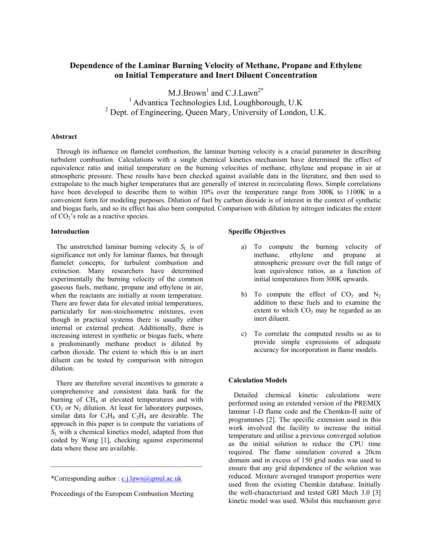# **Dependence of the Laminar Burning Velocity of Methane, Propane and Ethylene on Initial Temperature and Inert Diluent Concentration**

 $M.J.Brown<sup>1</sup>$  and  $C.J.Lawn<sup>2*</sup>$ <sup>1</sup> Advantica Technologies Ltd, Loughborough, U.K <sup>2</sup> Dept. of Engineering, Queen Mary, University of London, U.K.

## **Abstract**

 Through its influence on flamelet combustion, the laminar burning velocity is a crucial parameter in describing turbulent combustion. Calculations with a single chemical kinetics mechanism have determined the effect of equivalence ratio and initial temperature on the burning velocities of methane, ethylene and propane in air at atmospheric pressure. These results have been checked against available data in the literature, and then used to extrapolate to the much higher temperatures that are generally of interest in recirculating flows. Simple correlations have been developed to describe them to within 10% over the temperature range from 300K to 1100K in a convenient form for modeling purposes. Dilution of fuel by carbon dioxide is of interest in the context of synthetic and biogas fuels, and so its effect has also been computed. Comparison with dilution by nitrogen indicates the extent of  $CO<sub>2</sub>$ 's role as a reactive species.

# **Introduction**

The unstretched laminar burning velocity  $S_L$  is of significance not only for laminar flames, but through flamelet concepts, for turbulent combustion and extinction. Many researchers have determined experimentally the burning velocity of the common gaseous fuels, methane, propane and ethylene in air, when the reactants are initially at room temperature. There are fewer data for elevated initial temperatures, particularly for non-stoichiometric mixtures, even though in practical systems there is usually either internal or external preheat. Additionally, there is increasing interest in synthetic or biogas fuels, where a predominantly methane product is diluted by carbon dioxide. The extent to which this is an inert diluent can be tested by comparison with nitrogen dilution.

 There are therefore several incentives to generate a comprehensive and consistent data bank for the burning of  $CH<sub>4</sub>$  at elevated temperatures and with  $CO<sub>2</sub>$  or  $N<sub>2</sub>$  dilution. At least for laboratory purposes, similar data for  $C_3H_8$  and  $C_2H_4$  are desirable. The approach in this paper is to compute the variations of *S*L with a chemical kinetics model, adapted from that coded by Wang [1], checking against experimental data where these are available.

 $\mathcal{L}_\text{max}$  and  $\mathcal{L}_\text{max}$  and  $\mathcal{L}_\text{max}$ 

## **Specific Objectives**

- a) To compute the burning velocity of methane, ethylene and propane at atmospheric pressure over the full range of lean equivalence ratios, as a function of initial temperatures from 300K upwards.
- b) To compute the effect of  $CO<sub>2</sub>$  and  $N<sub>2</sub>$ addition to these fuels and to examine the extent to which  $CO<sub>2</sub>$  may be regarded as an inert diluent.
- c) To correlate the computed results so as to provide simple expressions of adequate accuracy for incorporation in flame models.

# **Calculation Models**

 Detailed chemical kinetic calculations were performed using an extended version of the PREMIX laminar 1-D flame code and the Chemkin-II suite of programmes [2]. The specific extension used in this work involved the facility to increase the initial temperature and utilise a previous converged solution as the initial solution to reduce the CPU time required. The flame simulation covered a 20cm domain and in excess of 150 grid nodes was used to ensure that any grid dependence of the solution was reduced. Mixture averaged transport properties were used from the existing Chemkin database. Initially the well-characterised and tested GRI Mech 3.0 [3] kinetic model was used. Whilst this mechanism gave

<sup>\*</sup>Corresponding author : [c.j.lawn@qmul.ac.uk](mailto:c.j.lawn@qmul.ac.uk)

Proceedings of the European Combustion Meeting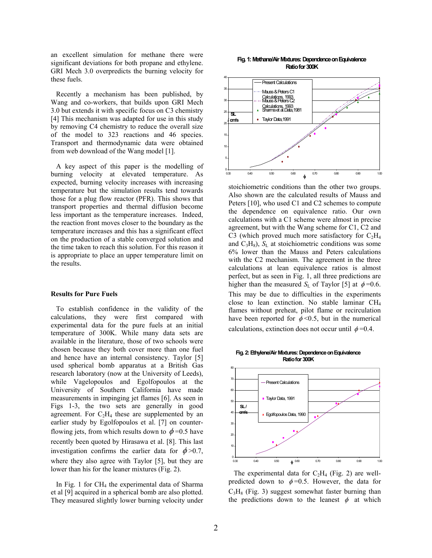an excellent simulation for methane there were significant deviations for both propane and ethylene. GRI Mech 3.0 overpredicts the burning velocity for these fuels.

Recently a mechanism has been published, by Wang and co-workers, that builds upon GRI Mech 3.0 but extends it with specific focus on C3 chemistry [4] This mechanism was adapted for use in this study by removing C4 chemistry to reduce the overall size of the model to 323 reactions and 46 species. Transport and thermodynamic data were obtained from web download of the Wang model [1].

A key aspect of this paper is the modelling of burning velocity at elevated temperature. As expected, burning velocity increases with increasing temperature but the simulation results tend towards those for a plug flow reactor (PFR). This shows that transport properties and thermal diffusion become less important as the temperature increases. Indeed, the reaction front moves closer to the boundary as the temperature increases and this has a significant effect on the production of a stable converged solution and the time taken to reach this solution. For this reason it is appropriate to place an upper temperature limit on the results.

## **Results for Pure Fuels**

To establish confidence in the validity of the calculations, they were first compared with experimental data for the pure fuels at an initial temperature of 300K. While many data sets are available in the literature, those of two schools were chosen because they both cover more than one fuel and hence have an internal consistency. Taylor [5] used spherical bomb apparatus at a British Gas research laboratory (now at the University of Leeds), while Vagelopoulos and Egolfopoulos at the University of Southern California have made measurements in impinging jet flames [6]. As seen in Figs 1-3, the two sets are generally in good agreement. For  $C_2H_4$  these are supplemented by an earlier study by Egolfopoulos et al. [7] on counterflowing jets, from which results down to  $\phi = 0.5$  have recently been quoted by Hirasawa et al. [8]. This last investigation confirms the earlier data for  $\phi > 0.7$ , where they also agree with Taylor [5], but they are lower than his for the leaner mixtures (Fig. 2).

In Fig. 1 for CH<sub>4</sub> the experimental data of Sharma et al [9] acquired in a spherical bomb are also plotted. They measured slightly lower burning velocity under

#### **Fig. 1: Methane/AirMixtures:Dependence onEquivalence Ratio for 300K**



stoichiometric conditions than the other two groups. Also shown are the calculated results of Mauss and Peters [10], who used C1 and C2 schemes to compute the dependence on equivalence ratio. Our own calculations with a C1 scheme were almost in precise agreement, but with the Wang scheme for C1, C2 and C3 (which proved much more satisfactory for  $C_2H_4$ and  $C_3H_8$ ),  $S_L$  at stoichiometric conditions was some 6% lower than the Mauss and Peters calculations with the C2 mechanism. The agreement in the three calculations at lean equivalence ratios is almost perfect, but as seen in Fig. 1, all three predictions are higher than the measured *S*<sub>L</sub> of Taylor [5] at  $\phi = 0.6$ . This may be due to difficulties in the experiments close to lean extinction. No stable laminar CH4 flames without preheat, pilot flame or recirculation have been reported for  $\phi \le 0.5$ , but in the numerical calculations, extinction does not occur until  $\phi = 0.4$ .

**Fig. 2:Ethylene/Air Mixtures: Dependence onEquivalence Ratio for 300K**



The experimental data for  $C_2H_4$  (Fig. 2) are wellpredicted down to  $\phi = 0.5$ . However, the data for  $C_3H_8$  (Fig. 3) suggest somewhat faster burning than the predictions down to the leanest  $\phi$  at which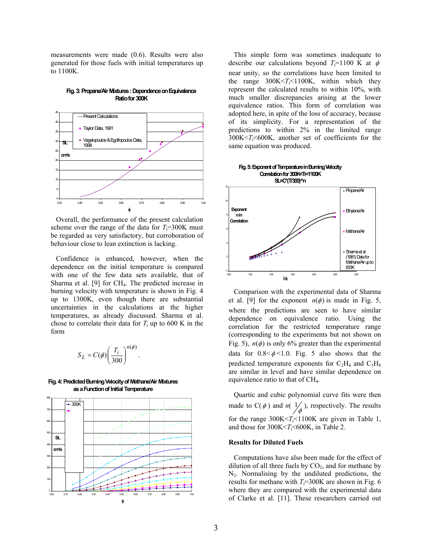measurements were made (0.6). Results were also generated for those fuels with initial temperatures up to 1100K.



**Fig. 3: Propane/Air Mixtures : Dependence on Equivalence Ratio for300K**

be regarded as very satisfactory, but corroboration of behaviour close to lean extinction is lacking. Overall, the performance of the present calculation scheme over the range of the data for  $T_i=300K$  must

with one of the few data sets available, that of Sharma et al.  $[9]$  for CH<sub>4</sub>. The predicted increase in Confidence is enhanced, however, when the dependence on the initial temperature is compared burning velocity with temperature is shown in Fig. 4 up to 1300K, even though there are substantial uncertainties in the calculations at the higher temperatures, as already discussed. Sharma et al. chose to correlate their data for  $T_i$  up to 600 K in the form

$$
S_L = C(\phi) \left(\frac{T_i}{300}\right)^{n(\phi)}.
$$

as a Function of Initial Temperature **Fig. 4: Predicted Burning Velocity of Methane/Air Mixtures**



This simple form was sometimes inadequate to describe our calculations beyond  $T=1100$  K at  $\phi$ near unity, so the correlations have been limited to the range  $300K < T<sub>i</sub> < 1100K$ , within which they represent the calculated results to within 10%, with much smaller discrepancies arising at the lower equivalence ratios. This form of correlation was adopted here, in spite of the loss of accuracy, because of its simplicity. For a representation of the predictions to within 2% in the limited range  $300K < T<sub>i</sub> < 600K$ , another set of coefficients for the same equation was produced.



 Comparison with the experimental data of Sharma et al. [9] for the exponent  $n(\phi)$  is made in Fig. 5, where the predictions are seen to have similar dependence on equivalence ratio. Using the correlation for the restricted temperature range (corresponding to the experiments but not shown on Fig. 5),  $n(\phi)$  is only 6% greater than the experimental data for  $0.8 < \phi < 1.0$ . Fig. 5 also shows that the predicted temperature exponents for  $C_2H_4$  and  $C_3H_8$ are similar in level and have similar dependence on equivalence ratio to that of CH4.

Quartic and cubic polynomial curve fits were then made to  $C(\phi)$  and  $n(\frac{1}{\phi})$ , respectively. The results for the range  $300K < T<sub>i</sub> < 1100K$  are given in Table 1, and those for  $300K < T<sub>i</sub> < 600K$ , in Table 2.

## **Results for Diluted Fuels**

Computations have also been made for the effect of dilution of all three fuels by  $CO<sub>2</sub>$ , and for methane by  $N<sub>2</sub>$ . Normalising by the undiluted predictions, the results for methane with  $T_i=300K$  are shown in Fig. 6 where they are compared with the experimental data of Clarke et al. [11]. These researchers carried out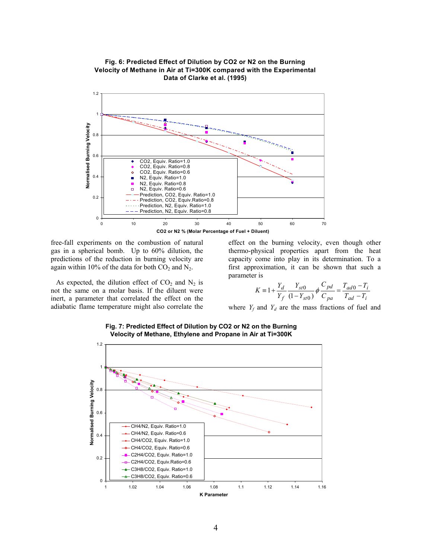



free-fall experiments on the combustion of natural gas in a spherical bomb. Up to 60% dilution, the predictions of the reduction in burning velocity are again within 10% of the data for both  $CO<sub>2</sub>$  and  $N<sub>2</sub>$ .

inert, a parameter that correlated the effect on the As expected, the dilution effect of  $CO<sub>2</sub>$  and  $N<sub>2</sub>$  is not the same on a molar basis. If the diluent were adiabatic flame temperature might also correlate the

experiments on the combustion of natural effect on the burning velocity, even though other thermo-physical properties apart from the heat capacity come into play in its determination. To a first approximation, it can be shown that such a parameter is

$$
K \equiv 1 + \frac{Y_d}{Y_f} \frac{Y_{st0}}{(1 - Y_{st0})} \phi \frac{C_{pd}}{C_{pa}} = \frac{T_{ad0} - T_i}{T_{ad} - T_i}
$$

where  $Y_f$  and  $Y_d$  are the mass fractions of fuel and



**Fig. 7: Predicted Effect of Dilution by CO 2 or N2 on the Burning Velocity of Methane, Ethylene an d Prop ane in Air at Ti=300K**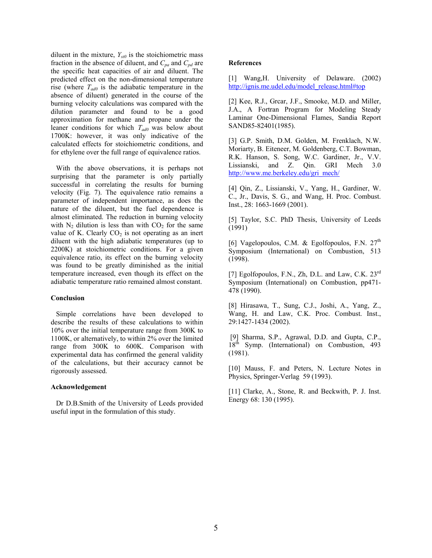diluent in the mixture,  $Y_{\text{st0}}$  is the stoichiometric mass fraction in the absence of diluent, and  $C_{pa}$  and  $C_{pd}$  are the specific heat capacities of air and diluent. The predicted effect on the non-dimensional temperature rise (where  $T_{ad0}$  is the adiabatic temperature in the absence of diluent) generated in the course of the burning velocity calculations was compared with the dilution parameter and found to be a good approximation for methane and propane under the leaner conditions for which *Tad0* was below about 1700K: however, it was only indicative of the calculated effects for stoichiometric conditions, and for ethylene over the full range of equivalence ratios.

temperature increased, even though its effect on the adiabatic temperature ratio remained almost constant. With the above observations, it is perhaps not surprising that the parameter is only partially successful in correlating the results for burning velocity (Fig. 7). The equivalence ratio remains a parameter of independent importance, as does the nature of the diluent, but the fuel dependence is almost eliminated. The reduction in burning velocity with  $N_2$  dilution is less than with  $CO_2$  for the same value of K. Clearly  $CO<sub>2</sub>$  is not operating as an inert diluent with the high adiabatic temperatures (up to 2200K) at stoichiometric conditions. For a given equivalence ratio, its effect on the burning velocity was found to be greatly diminished as the initial

## **Conclusion**

experimental data has confirmed the general validity of the calculations, but their accuracy cannot be Simple correlations have been developed to describe the results of these calculations to within 10% over the initial temperature range from 300K to 1100K, or alternatively, to within 2% over the limited range from 300K to 600K. Comparison with rigorously assessed.

# **Acknowledgement**

 Dr D.B.Smith of the University of Leeds provided useful input in the formulation of this study.

## **References**

) [\[1\] Wang,H. University of Delaware. \(2](http://ignis.me.udel.edu/model_release.html)002 http://ignis.me.udel.edu/model\_release.html#top

Laminar One-Dimensional Flames, Sandia Report SAND85-82401(1985). [2] Kee, R.J., Grear, J.F., Smooke, M.D. and Miller, J.A., A Fortran Program for Modeling Steady

Mech 3.0 http://www.me.berkeley.edu/gri\_mech/ [3] G.P. Smith, D.M. Golden, M. Frenklach, N.W. Moriarty, B. Eiteneer, M. Goldenberg, C.T. Bowman, R.K. Hanson, S. Song, W.C. Gardiner, Jr., V.V. [Lissianski, and Z. Qin. GRI](http://www.me.berkeley.edu/gri_mech/) 

C., Jr., Davis, S. G., and Wang, H. Proc. Combust. Inst., 28: 1663-1669 (2001). [4] Qin, Z., Lissianski, V., Yang, H., Gardiner, W.

[5] Taylor, S.C. PhD Thesis, University of Leeds (1991)

Symposium (International) on Combustion, 513 (1998). [6] Vagelopoulos, C.M. & Egolfopoulos, F.N.  $27<sup>th</sup>$ 

Symposium (International) on Combustion, pp471-478 (1990). [7] Egolfopoulos, F.N., Zh, D.L. and Law, C.K.  $23^{rd}$ 

Wang, H. and Law, C.K. Proc. Combust. Inst., 29:1427-1434 (2002). [8] Hirasawa, T., Sung, C.J., Joshi, A., Yang, Z.,

 $18<sup>th</sup>$  Symp. (International) on Combustion, 493 (1981). [9] Sharma, S.P., Agrawal, D.D. and Gupta, C.P.,

[10] Mauss, F. and Peters, N. Lecture Notes in Physics, Springer-Verlag 59 (1993).

[11] Clarke, A., Stone, R. and Beckwith, P. J. Inst. Energy 68: 130 (1995).